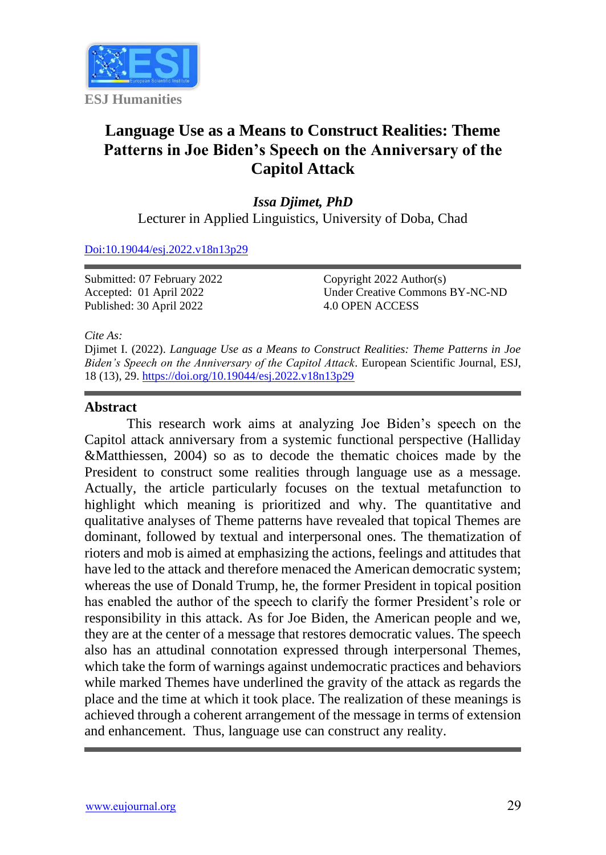

# **Language Use as a Means to Construct Realities: Theme Patterns in Joe Biden's Speech on the Anniversary of the Capitol Attack**

*Issa Djimet, PhD* Lecturer in Applied Linguistics, University of Doba, Chad

[Doi:10.19044/esj.2022.v18n13p29](https://doi.org/10.19044/esj.2022.v18n13p29)

Submitted: 07 February 2022 Accepted: 01 April 2022 Published: 30 April 2022

Copyright 2022 Author(s) Under Creative Commons BY-NC-ND 4.0 OPEN ACCESS

*Cite As:*

Djimet I. (2022). *Language Use as a Means to Construct Realities: Theme Patterns in Joe Biden's Speech on the Anniversary of the Capitol Attack.* European Scientific Journal, ESJ, 18 (13), 29. <https://doi.org/10.19044/esj.2022.v18n13p29>

#### **Abstract**

This research work aims at analyzing Joe Biden's speech on the Capitol attack anniversary from a systemic functional perspective (Halliday &Matthiessen, 2004) so as to decode the thematic choices made by the President to construct some realities through language use as a message. Actually, the article particularly focuses on the textual metafunction to highlight which meaning is prioritized and why. The quantitative and qualitative analyses of Theme patterns have revealed that topical Themes are dominant, followed by textual and interpersonal ones. The thematization of rioters and mob is aimed at emphasizing the actions, feelings and attitudes that have led to the attack and therefore menaced the American democratic system; whereas the use of Donald Trump, he, the former President in topical position has enabled the author of the speech to clarify the former President's role or responsibility in this attack. As for Joe Biden, the American people and we, they are at the center of a message that restores democratic values. The speech also has an attudinal connotation expressed through interpersonal Themes, which take the form of warnings against undemocratic practices and behaviors while marked Themes have underlined the gravity of the attack as regards the place and the time at which it took place. The realization of these meanings is achieved through a coherent arrangement of the message in terms of extension and enhancement. Thus, language use can construct any reality.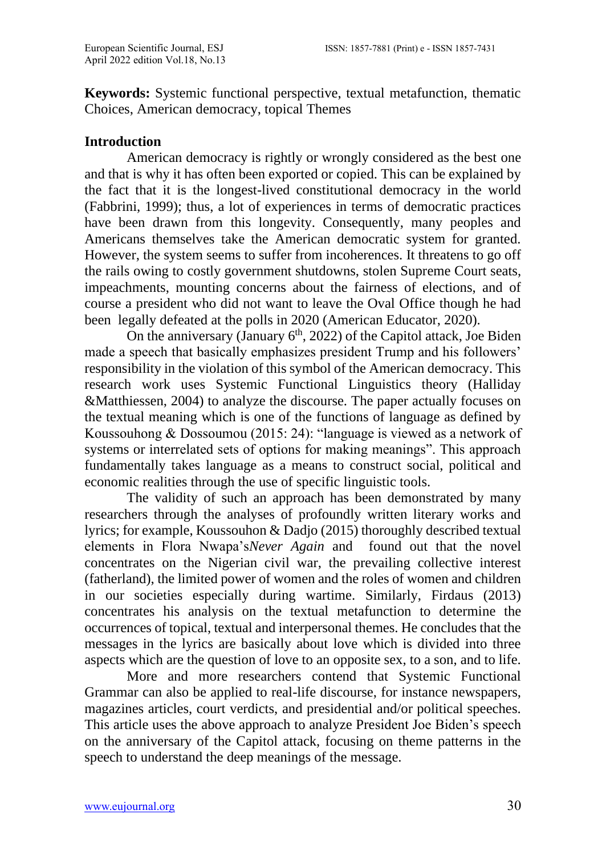**Keywords:** Systemic functional perspective, textual metafunction, thematic Choices, American democracy, topical Themes

# **Introduction**

American democracy is rightly or wrongly considered as the best one and that is why it has often been exported or copied. This can be explained by the fact that it is the longest-lived constitutional democracy in the world (Fabbrini, 1999); thus, a lot of experiences in terms of democratic practices have been drawn from this longevity. Consequently, many peoples and Americans themselves take the American democratic system for granted. However, the system seems to suffer from incoherences. It threatens to go off the rails owing to costly government shutdowns, stolen Supreme Court seats, impeachments, mounting concerns about the fairness of elections, and of course a president who did not want to leave the Oval Office though he had been legally defeated at the polls in 2020 (American Educator, 2020).

On the anniversary (January  $6<sup>th</sup>$ , 2022) of the Capitol attack, Joe Biden made a speech that basically emphasizes president Trump and his followers' responsibility in the violation of this symbol of the American democracy. This research work uses Systemic Functional Linguistics theory (Halliday &Matthiessen, 2004) to analyze the discourse. The paper actually focuses on the textual meaning which is one of the functions of language as defined by Koussouhong & Dossoumou (2015: 24): "language is viewed as a network of systems or interrelated sets of options for making meanings". This approach fundamentally takes language as a means to construct social, political and economic realities through the use of specific linguistic tools.

The validity of such an approach has been demonstrated by many researchers through the analyses of profoundly written literary works and lyrics; for example, Koussouhon & Dadjo (2015) thoroughly described textual elements in Flora Nwapa's*Never Again* and found out that the novel concentrates on the Nigerian civil war, the prevailing collective interest (fatherland), the limited power of women and the roles of women and children in our societies especially during wartime. Similarly, Firdaus (2013) concentrates his analysis on the textual metafunction to determine the occurrences of topical, textual and interpersonal themes. He concludes that the messages in the lyrics are basically about love which is divided into three aspects which are the question of love to an opposite sex, to a son, and to life.

More and more researchers contend that Systemic Functional Grammar can also be applied to real-life discourse, for instance newspapers, magazines articles, court verdicts, and presidential and/or political speeches. This article uses the above approach to analyze President Joe Biden's speech on the anniversary of the Capitol attack, focusing on theme patterns in the speech to understand the deep meanings of the message.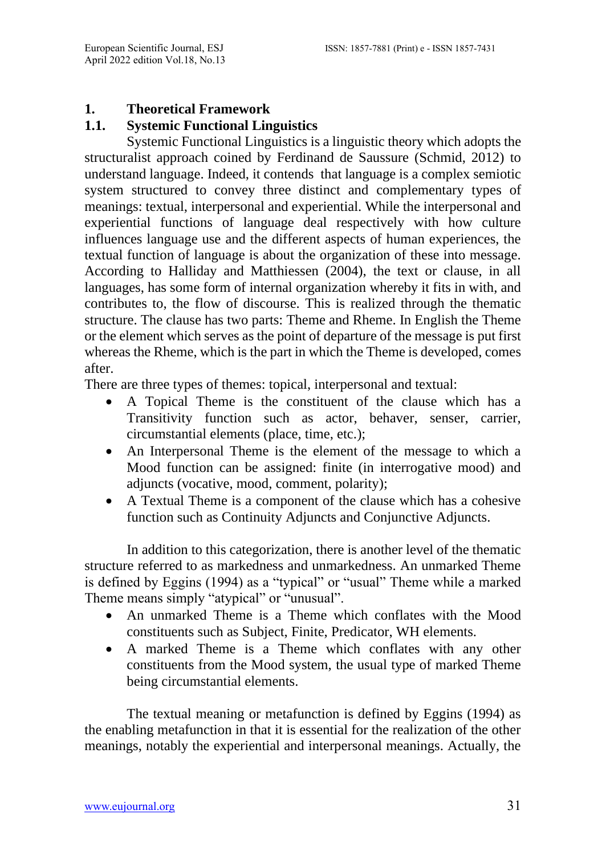# **1. Theoretical Framework**

# **1.1. Systemic Functional Linguistics**

Systemic Functional Linguistics is a linguistic theory which adopts the structuralist approach coined by Ferdinand de Saussure (Schmid, 2012) to understand language. Indeed, it contends that language is a complex semiotic system structured to convey three distinct and complementary types of meanings: textual, interpersonal and experiential. While the interpersonal and experiential functions of language deal respectively with how culture influences language use and the different aspects of human experiences, the textual function of language is about the organization of these into message. According to Halliday and Matthiessen (2004), the text or clause, in all languages, has some form of internal organization whereby it fits in with, and contributes to, the flow of discourse. This is realized through the thematic structure. The clause has two parts: Theme and Rheme. In English the Theme or the element which serves as the point of departure of the message is put first whereas the Rheme, which is the part in which the Theme is developed, comes after.

There are three types of themes: topical, interpersonal and textual:

- A Topical Theme is the constituent of the clause which has a Transitivity function such as actor, behaver, senser, carrier, circumstantial elements (place, time, etc.);
- An Interpersonal Theme is the element of the message to which a Mood function can be assigned: finite (in interrogative mood) and adjuncts (vocative, mood, comment, polarity);
- A Textual Theme is a component of the clause which has a cohesive function such as Continuity Adjuncts and Conjunctive Adjuncts.

In addition to this categorization, there is another level of the thematic structure referred to as markedness and unmarkedness. An unmarked Theme is defined by Eggins (1994) as a "typical" or "usual" Theme while a marked Theme means simply "atypical" or "unusual".

- An unmarked Theme is a Theme which conflates with the Mood constituents such as Subject, Finite, Predicator, WH elements.
- A marked Theme is a Theme which conflates with any other constituents from the Mood system, the usual type of marked Theme being circumstantial elements.

The textual meaning or metafunction is defined by Eggins (1994) as the enabling metafunction in that it is essential for the realization of the other meanings, notably the experiential and interpersonal meanings. Actually, the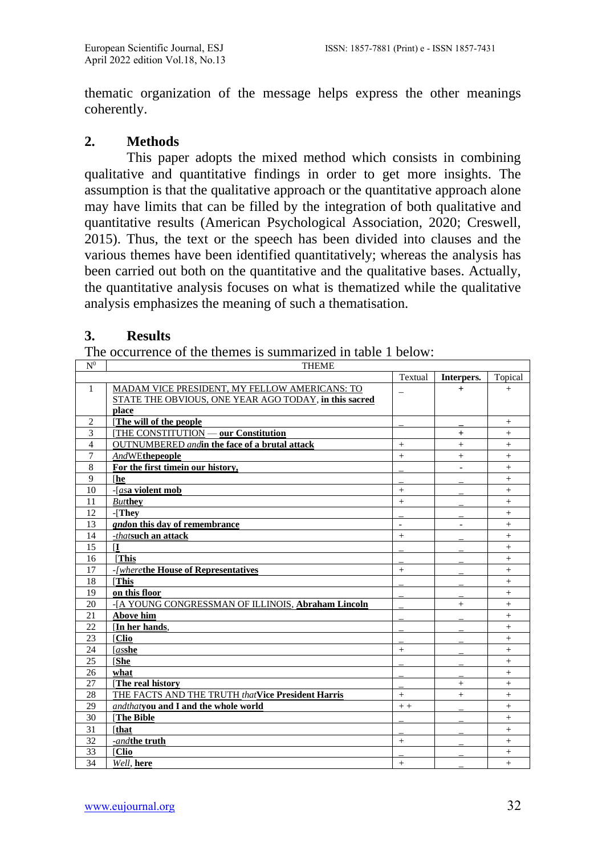thematic organization of the message helps express the other meanings coherently.

# **2. Methods**

This paper adopts the mixed method which consists in combining qualitative and quantitative findings in order to get more insights. The assumption is that the qualitative approach or the quantitative approach alone may have limits that can be filled by the integration of both qualitative and quantitative results (American Psychological Association, 2020; Creswell, 2015). Thus, the text or the speech has been divided into clauses and the various themes have been identified quantitatively; whereas the analysis has been carried out both on the quantitative and the qualitative bases. Actually, the quantitative analysis focuses on what is thematized while the qualitative analysis emphasizes the meaning of such a thematisation.

# **3. Results**

The occurrence of the themes is summarized in table 1 below:

| N <sup>0</sup> | <b>THEME</b>                                          |                |            |            |
|----------------|-------------------------------------------------------|----------------|------------|------------|
|                |                                                       | Textual        | Interpers. | Topical    |
| 1              | MADAM VICE PRESIDENT, MY FELLOW AMERICANS: TO         |                | $^{+}$     | $+$        |
|                | STATE THE OBVIOUS, ONE YEAR AGO TODAY, in this sacred |                |            |            |
|                | place                                                 |                |            |            |
| $\overline{c}$ | [The will of the people                               |                |            | $+$        |
| 3              | [THE CONSTITUTION — our Constitution                  |                | $^{+}$     | $+$        |
| 4              | <b>OUTNUMBERED</b> andin the face of a brutal attack  | $+$            | $+$        | $+$        |
| 7              | <b>AndWEthepeople</b>                                 | $+$            | $^{+}$     | $\ddot{}$  |
| 8              | For the first timein our history,                     |                |            | $^{+}$     |
| 9              | <b>The</b>                                            |                |            | $+$        |
| 10             | -[asa violent mob                                     | $\ddot{}$      |            | $\ddot{+}$ |
| 11             | <b>Butthey</b>                                        | $\ddot{}$      |            | $\ddot{}$  |
| 12             | -[They                                                |                |            | $+$        |
| 13             | <i>gndon</i> this day of remembrance                  | $\overline{a}$ | L.         | $\ddot{}$  |
| 14             | -thatsuch an attack                                   | $+$            |            | $\ddot{}$  |
| 15             | П                                                     |                |            | $+$        |
| 16             | <b>This</b>                                           |                |            | $+$        |
| 17             | -/wherethe House of Representatives                   | $+$            |            | $^{+}$     |
| 18             | <b>This</b>                                           |                |            | $^{+}$     |
| 19             | on this floor                                         |                |            | $+$        |
| 20             | -[A YOUNG CONGRESSMAN OF ILLINOIS, Abraham Lincoln    |                | $+$        | $\ddot{}$  |
| 21             | <b>Above him</b>                                      |                |            | $\ddot{}$  |
| 22             | [In her hands,                                        |                |            | $^{+}$     |
| 23             | [Clio]                                                |                |            | $\ddot{}$  |
| 24             | $[as$ she                                             | $+$            |            | $\ddot{+}$ |
| 25             | <b>She</b>                                            |                |            | $\ddot{+}$ |
| 26             | what                                                  |                |            | $+$        |
| 27             | [The real history                                     |                | $+$        | $\ddot{}$  |
| 28             | THE FACTS AND THE TRUTH thatVice President Harris     | $\ddot{+}$     | $\ddot{}$  | $\ddot{}$  |
| 29             | andthatvou and I and the whole world                  | $+ +$          |            | $+$        |
| 30             | [The Bible                                            |                |            | $+$        |
| 31             | <b>Ithat</b>                                          |                |            | $+$        |
| 32             | -andthe truth                                         | $+$            |            | $+$        |
| 33             | <b>[Clio</b>                                          |                |            | $+$        |
| 34             | Well, here                                            | $+$            |            | $+$        |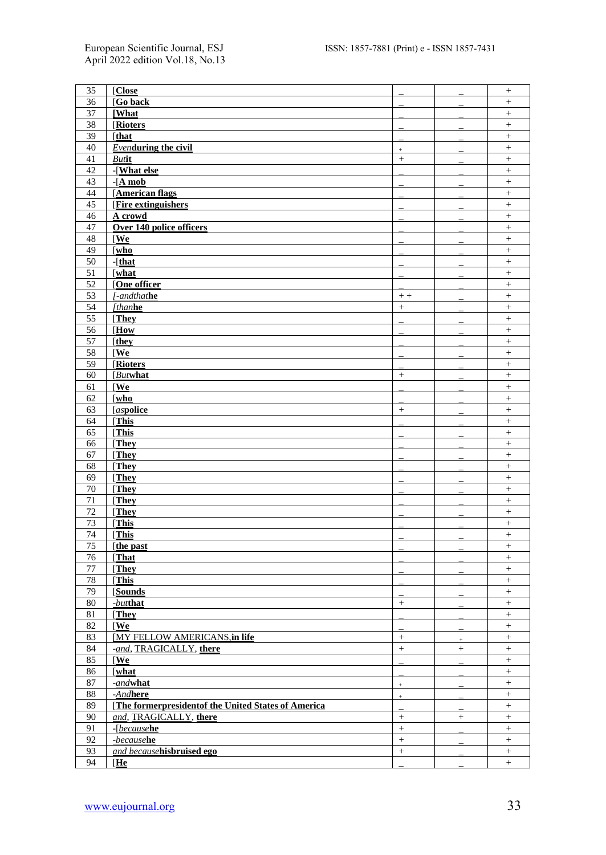| 35       | [Close                                              |                  |        | $^{+}$            |
|----------|-----------------------------------------------------|------------------|--------|-------------------|
| 36       | [Go back                                            |                  |        | $\ddot{}$         |
| 37       | <b>[What</b>                                        |                  |        | $+$               |
| 38       | [Rioters]                                           |                  |        | $^+$              |
| 39       | [that                                               |                  |        | $\boldsymbol{+}$  |
| 40       | <b>Evenduring the civil</b>                         | $\ddot{}$        |        | $^{+}$            |
| 41       | <b>Butit</b>                                        | $\! +$           |        | $^+$              |
| 42       | -[What else                                         |                  |        | $\boldsymbol{+}$  |
| 43       | $-[A \bmod$                                         |                  |        | $+$               |
| 44       | [American flags                                     |                  |        | $+$               |
| 45       | [Fire extinguishers]                                |                  |        | $+$               |
| 46       | A crowd                                             |                  |        | $+$               |
| 47       | Over 140 police officers                            |                  |        | $\qquad \qquad +$ |
| 48       | [We]                                                |                  |        | $\ddot{}$         |
| 49       | [who                                                |                  |        | $\qquad \qquad +$ |
| 50       | $-[that]$                                           |                  |        | $^{+}$            |
| 51       | [what                                               |                  |        | $+$               |
| 52       | [One officer                                        |                  |        | $^+$              |
| 53       | [-andthathe                                         |                  |        | $^{+}$            |
| 54       | [thanhe                                             | $\, +$ $\, +$    |        |                   |
|          |                                                     | $\boldsymbol{+}$ |        | $^+$              |
| 55       | [They                                               |                  |        | $\qquad \qquad +$ |
| 56       | [How                                                |                  |        | $\ddot{}$         |
| 57       | [they                                               |                  |        | $\boldsymbol{+}$  |
| 58       | [We                                                 |                  |        | $+$               |
| 59       | [Rioters]                                           |                  |        | $+$               |
| 60       | [Butwhat                                            | $\! + \!\!\!\!$  |        |                   |
| 61       | [We]                                                |                  |        | $\ddot{}$         |
| 62       | [who                                                |                  |        | $\qquad \qquad +$ |
| 63       | [aspolice                                           | $^{+}$           |        | $^{+}$            |
| 64       | [This                                               |                  |        | $+$               |
| 65       | [This                                               |                  |        | $+$               |
| 66       | [They                                               |                  |        | $^{+}$            |
| 67       | [They                                               |                  |        | $^+$              |
| 68       | [They                                               |                  |        | $\qquad \qquad +$ |
| 69       | [They                                               |                  |        | $\ddot{}$         |
| 70       | [They                                               |                  |        | $\boldsymbol{+}$  |
| 71       | [They                                               |                  |        | $+$               |
| 72       | [They                                               |                  |        | $+$               |
| 73       | [This                                               |                  |        | $\boldsymbol{+}$  |
| 74       | [This                                               |                  |        | $\ddot{}$         |
| 75       | [the past                                           |                  |        | $^{+}$            |
| 76       | [That                                               |                  |        | $^{+}$            |
| 77       | [They                                               |                  |        | $+$               |
| 78       | [This]                                              |                  |        | $+$               |
| 79       | [Sounds                                             |                  |        | $^{+}$            |
| 80       | -butthat                                            |                  |        | $^{+}$            |
| 81       | <u>They</u>                                         |                  |        | $^+$              |
| 82       | $\sqrt{W}$                                          |                  |        | $\ddot{}$         |
| 83       | <b>IMY FELLOW AMERICANS, in life</b>                | $^{+}$           | $+$    | $+$               |
| 84       | -and, TRAGICALLY, there                             | $+$              | $^{+}$ | $^{+}$            |
| 85       | [We]                                                |                  |        | $+$               |
| 86       | [what                                               |                  |        | $+$               |
| 87       | -andwhat                                            |                  |        | $\ddot{}$         |
| $\bf 88$ | -Andhere                                            | $\ddot{}$        |        | $+$               |
| 89       | [The formerpresidentof the United States of America | $\frac{1}{2}$    |        | $^{+}$            |
| $90\,$   | and, TRAGICALLY, there                              |                  |        | $\overline{+}$    |
|          |                                                     | $\! +$           | $+$    |                   |
| 91       | -[becausehe                                         | $\ddot{}$        |        | $+$               |
| 92       | -becausehe                                          | $+$              |        | $+$               |
| 93       | and becausehisbruised ego                           | $\! +$           |        | $+$               |
| 94       | [He]                                                |                  |        | $+$               |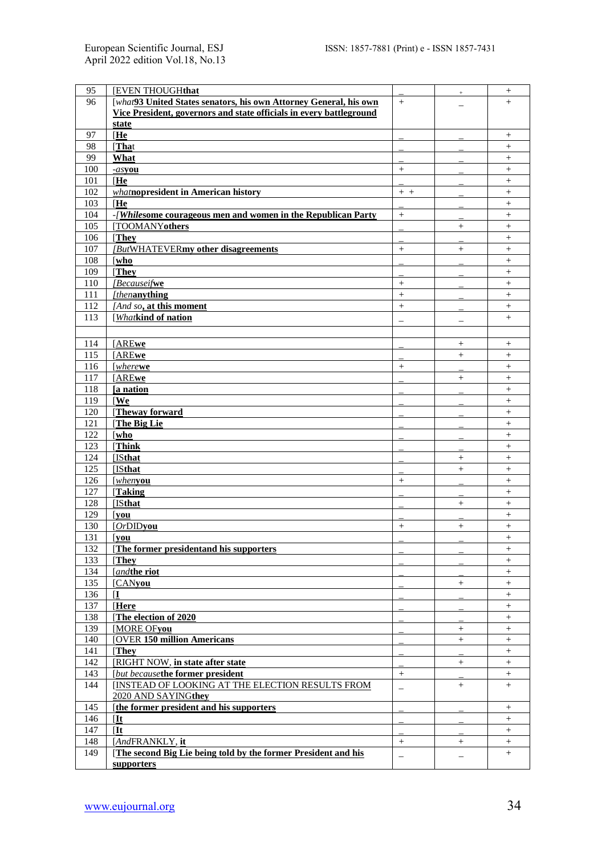| 95  | <b>[EVEN THOUGHthat</b>                                             |                          | $\ddot{}$                | $\! + \!\!\!\!$   |
|-----|---------------------------------------------------------------------|--------------------------|--------------------------|-------------------|
| 96  | [what93 United States senators, his own Attorney General, his own   | $+$                      |                          | $+$               |
|     | Vice President, governors and state officials in every battleground |                          |                          |                   |
|     | state                                                               |                          |                          |                   |
| 97  | [He                                                                 |                          |                          | $+$               |
| 98  | [That                                                               |                          |                          | $+$               |
| 99  | What                                                                |                          |                          | $\! + \!\!\!\!$   |
| 100 | -asvou                                                              | $\! + \!\!\!\!$          |                          | $\qquad \qquad +$ |
| 101 | [He                                                                 |                          |                          | $+$               |
| 102 | whatnopresident in American history                                 | $+$ +                    |                          | $\qquad \qquad +$ |
| 103 | [He                                                                 |                          |                          | $\boldsymbol{+}$  |
| 104 | -[Whilesome courageous men and women in the Republican Party        |                          |                          |                   |
|     |                                                                     | $+$                      |                          | $\qquad \qquad +$ |
| 105 | [TOOMANYothers]                                                     |                          | $^{+}$                   | $+$               |
| 106 | [They]                                                              |                          |                          | $+$               |
| 107 | <b><i>[ButWHATEVERmy other disagreements</i></b>                    | $^{+}$                   | $+$                      | $+$               |
| 108 | [who                                                                |                          |                          | $^{+}$            |
| 109 | [They                                                               |                          |                          | $+$               |
| 110 | [Becauseifwe                                                        | $+$                      |                          | $\qquad \qquad +$ |
| 111 | [thenanything]                                                      | $+$                      |                          | $+$               |
| 112 | [And so, at this moment                                             | $^{+}$                   |                          | $\! + \!\!\!\!$   |
| 113 | [Whatkind of nation                                                 | $\overline{\phantom{0}}$ | $\overline{\phantom{0}}$ | $+$               |
|     |                                                                     |                          |                          |                   |
| 114 | [AREwe                                                              |                          | $+$                      | $+$               |
|     |                                                                     |                          |                          |                   |
| 115 | <b>[AREwe</b>                                                       |                          | $+$                      | $\boldsymbol{+}$  |
| 116 | [wherewe                                                            | $^{+}$                   |                          | $\qquad \qquad +$ |
| 117 | [AREwe                                                              |                          | $+$                      | $+$               |
| 118 | [a nation                                                           |                          |                          | $\qquad \qquad +$ |
| 119 | <b>We</b>                                                           |                          |                          | $\boldsymbol{+}$  |
| 120 | [Theway forward                                                     |                          |                          | $+$               |
| 121 | [The Big Lie                                                        |                          |                          | $+$               |
| 122 | [who                                                                |                          |                          | $+$               |
| 123 | [Think]                                                             |                          |                          | $+$               |
| 124 | [ISthat                                                             |                          | $^{+}$                   | $^{+}$            |
| 125 | [ISthat]                                                            |                          | $^{+}$                   | $+$               |
| 126 | $[wheny$ ou                                                         | $+$                      |                          | $\qquad \qquad +$ |
| 127 | [Taking                                                             |                          |                          | $+$               |
| 128 | [ISthat                                                             |                          | $^{+}$                   | $\qquad \qquad +$ |
| 129 | [you                                                                |                          |                          | $\qquad \qquad +$ |
| 130 | $[OrDID$ you                                                        | $+$                      | $+$                      | $+$               |
|     |                                                                     |                          |                          |                   |
| 131 | [you                                                                |                          |                          | $+$               |
| 132 | [The former presidentand his supporters]                            |                          |                          | $+$               |
| 133 | [They                                                               |                          |                          | $+$               |
| 134 | [andthe riot                                                        |                          |                          | $+$               |
| 135 | [CANyou                                                             |                          | $^{+}$                   | $+$               |
| 136 | П                                                                   |                          |                          | $\! + \!\!\!\!$   |
| 137 | [Here                                                               |                          |                          | $+$               |
| 138 | [The election of 2020                                               |                          |                          | $\! + \!\!\!\!$   |
| 139 | [MORE OFyou                                                         |                          | $^{+}$                   | $+$               |
| 140 | <b>[OVER 150 million Americans</b>                                  |                          | $+$                      | $+$               |
| 141 | [They                                                               |                          |                          | $^{+}$            |
| 142 | <b>RIGHT NOW, in state after state</b>                              |                          | $^{+}$                   | $^{+}$            |
| 143 | [but becausethe former president                                    | $+$                      |                          | $+$               |
| 144 | <b>INSTEAD OF LOOKING AT THE ELECTION RESULTS FROM</b>              |                          | $+$                      | $^{+}$            |
|     | 2020 AND SAYINGthey                                                 |                          |                          |                   |
| 145 | [the former president and his supporters]                           |                          |                          | $^{+}$            |
| 146 | ⊺It                                                                 |                          |                          |                   |
|     | $\Pi$ t                                                             |                          |                          | $^{+}$            |
| 147 |                                                                     |                          |                          | $+$               |
| 148 | [AndFRANKLY, it                                                     | $+$                      | $+$                      | $+$               |
| 149 | [The second Big Lie being told by the former President and his      | $\overline{\phantom{0}}$ |                          | $+$               |
|     | supporters                                                          |                          |                          |                   |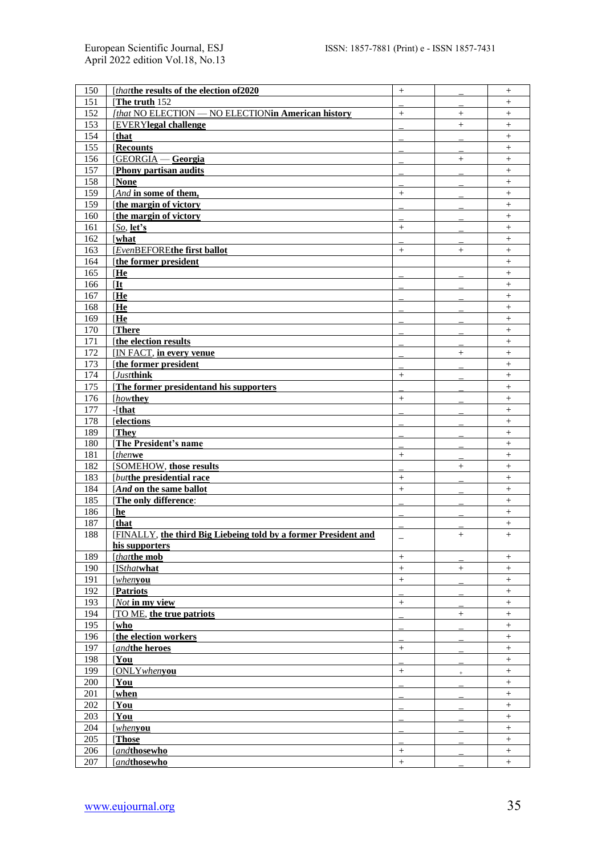| 150        | [thatthe results of the election of 2020                        | $^{+}$            |        | $^{+}$    |
|------------|-----------------------------------------------------------------|-------------------|--------|-----------|
| 151        | $\sqrt{\text{The truth } 152}$                                  |                   |        | $+$       |
| 152        | [that NO ELECTION — NO ELECTIONin American history              | $+$               | $^{+}$ | $+$       |
| 153        | [EVERYlegal challenge                                           |                   | $^{+}$ | $^{+}$    |
| 154        | [that                                                           |                   |        | $+$       |
| 155        | [Recounts]                                                      |                   |        | $+$       |
| 156        | <b>GEORGIA</b> - Georgia                                        |                   | $^{+}$ | $\ddot{}$ |
| 157        | [Phony partisan audits]                                         |                   |        | $+$       |
| 158        | [None                                                           |                   |        | $^{+}$    |
| 159        | [And in some of them,                                           | $^{+}$            |        | $+$       |
| 159        | [the margin of victory                                          |                   |        | $+$       |
| 160        | [the margin of victory]                                         |                   |        | $^{+}$    |
| 161        | [So, let's]                                                     | $^{+}$            |        | $+$       |
| 162        | [what                                                           |                   |        | $^{+}$    |
| 163        | [EvenBEFOREthe first ballot                                     | $+$               | $+$    | $+$       |
| 164        | [the former president                                           |                   |        | $+$       |
| 165        | [He                                                             |                   |        | $\ddot{}$ |
|            | $\mathbf{I}$ t                                                  |                   |        |           |
| 166<br>167 | [He                                                             |                   |        | $+$       |
|            |                                                                 |                   |        | $+$       |
| 168        | [He                                                             |                   |        | $\ddot{}$ |
| 169        | [He                                                             |                   |        | $+$       |
| 170        | [There                                                          |                   |        | $+$       |
| 171        | [the election results]                                          |                   |        | $+$       |
| 172        | <b>IN FACT</b> , in every venue                                 |                   | $^{+}$ | $+$       |
| 173        | [the former president                                           |                   |        | $^{+}$    |
| 174        | [Justthink]                                                     | $\! + \!\!\!\!$   |        | $+$       |
| 175        | [The former presidentand his supporters                         |                   |        | $^{+}$    |
| 176        | [howthey]                                                       | $+$               |        | $+$       |
| 177        | $-[that]$                                                       |                   |        | $+$       |
| 178        | [elections]                                                     |                   |        | $+$       |
| 189        | [They                                                           |                   |        | $+$       |
| 180        | [The President's name                                           |                   |        | $+$       |
| 181        | [thenwe                                                         | $+$               |        | $\ddot{}$ |
| 182        | [SOMEHOW, those results                                         |                   | $^{+}$ | $+$       |
| 183        | [butthe presidential race                                       | $+$               |        | $+$       |
| 184        | [And on the same ballot                                         | $+$               |        | $+$       |
| 185        | [The only difference:                                           |                   |        | $+$       |
| 186        | [he                                                             |                   |        | $^{+}$    |
| 187        | <b>Ithat</b>                                                    |                   |        | $+$       |
| 188        | [FINALLY, the third Big Liebeing told by a former President and | $\qquad \qquad -$ | $^{+}$ | $+$       |
|            | his supporters                                                  |                   |        |           |
| 189        | [thatthe mob                                                    | $+$               |        | $+$       |
| 190        | [ISthatwhat                                                     | $+$               | $^{+}$ | $+$       |
| 191        | $[when$ vou                                                     | $+$               |        | $+$       |
| 192        | [Patriots                                                       |                   |        | $^{+}$    |
| 193        | [Not in my view                                                 | $+$               |        | $+$       |
| 194        | [TO ME, the true patriots]                                      |                   | $^{+}$ | $^{+}$    |
| 195        | [who                                                            |                   |        | $^{+}$    |
| 196        | [the election workers]                                          |                   |        | $^{+}$    |
| 197        | [andthe heroes]                                                 | $+$               |        | $^{+}$    |
| 198        | $\Gamma$ You                                                    |                   |        | $+$       |
| 199        | [ONLYwhenyou                                                    | $^{+}$            | $\pm$  | $+$       |
| 200        | $\Gamma$ You                                                    |                   |        | $^{+}$    |
| 201        | [when                                                           |                   |        | $+$       |
| 202        | $\Gamma$ You                                                    |                   |        | $+$       |
| 203        | $\Gamma$ You                                                    |                   |        | $\ddot{}$ |
| 204        | $[wheny$ ou                                                     |                   |        | $+$       |
| 205        | [Those                                                          |                   |        | $^{+}$    |
| 206        | [andthosewho                                                    | $\! + \!\!\!\!$   |        | $+$       |
| 207        | [andthosewho                                                    | $+$               |        | $+$       |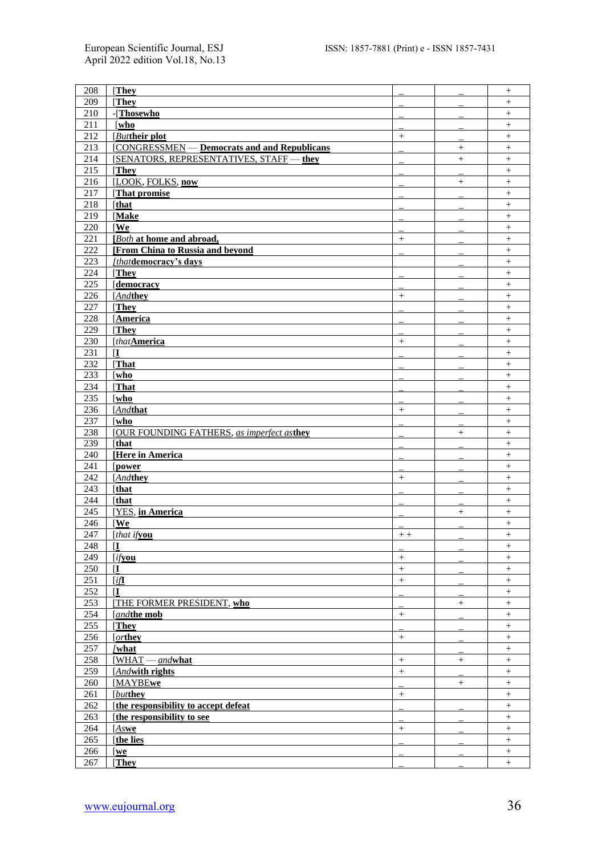| 208        | [They]                                            |               |                 | $\begin{array}{c} + \end{array}$ |
|------------|---------------------------------------------------|---------------|-----------------|----------------------------------|
| 209        | [They                                             |               |                 | $+$                              |
| 210        | -[Thosewho                                        |               |                 | $+$                              |
| 211        | <b>[who</b>                                       |               |                 | $\! + \!\!\!\!$                  |
| 212        | [Buttheir plot                                    | $+$           |                 | $^{+}$                           |
| 213        | [CONGRESSMEN – Democrats and and Republicans      |               | $+$             | $+$                              |
| 214        | [SENATORS, REPRESENTATIVES, STAFF-they            |               | $^{+}$          | $+$                              |
| 215        | [They                                             |               |                 | $+$                              |
| 216        | [LOOK, FOLKS, now                                 |               |                 | $\boldsymbol{+}$                 |
| 217        | [That promise]                                    |               |                 | $^{+}$                           |
| 218        | [that                                             |               |                 | $+$                              |
| 219        | [Make                                             |               |                 |                                  |
| 220        | <b>[We</b>                                        |               |                 | $\! + \!\!\!\!$                  |
| 221        | [Both at home and abroad,                         |               |                 | $+$                              |
|            |                                                   | $+$           |                 | $+$                              |
| 222        | [From China to Russia and beyond                  |               |                 | $+$                              |
| 223        | [thatdemocracy's days                             |               |                 | $\boldsymbol{+}$                 |
| 224        | [They]                                            |               |                 | $^{+}$                           |
| 225        | [democracy                                        |               |                 | $^{+}$                           |
| 226        | [Andthey]                                         | $+$           |                 | $+$                              |
| 227        | [They]                                            |               |                 | $+$                              |
| 228        | [America                                          |               |                 | $^{+}$                           |
| 229        | [They                                             |               |                 | $+$                              |
| 230        | [that <b>America</b>                              | $+$           |                 | $^{+}$                           |
| 231        | П                                                 |               |                 | $+$                              |
| 232        | [That                                             |               |                 | $\boldsymbol{+}$                 |
| 233        | <b>[who</b>                                       |               |                 | $^{+}$                           |
| 234        | [That                                             |               |                 | $+$                              |
| 235        | [who                                              |               |                 | $+$                              |
| 236        | [Andthat                                          | $^{+}$        |                 | $\boldsymbol{+}$                 |
| 237        | <b>[who</b>                                       |               |                 | $+$                              |
| 238        | <b>[OUR FOUNDING FATHERS, as imperfect asthey</b> |               | $^{+}$          | $^{+}$                           |
| 239        | <b>Ithat</b>                                      |               |                 | $+$                              |
| 240        | [Here in America                                  |               |                 | $+$                              |
| 241        | [power                                            |               |                 | $+$                              |
| 242        | [Andthey]                                         |               |                 | $+$                              |
| 243        | [that                                             | $+$           |                 |                                  |
|            |                                                   |               |                 | $^{+}$                           |
| 244        | [that                                             |               |                 | $+$                              |
| 245        | [YES, in America                                  |               | $\! + \!\!\!\!$ | $\! + \!\!\!\!$                  |
| 246        | [We                                               |               |                 | $^{+}$                           |
| 247        | [that ifyou                                       | $\, +$ $\, +$ |                 | $+$                              |
| 248        | П                                                 |               |                 | $+$                              |
| 249        | $[if$ vou                                         |               |                 | $\boldsymbol{+}$                 |
| 250        | $\mathbf{I}$                                      | $+$           |                 | $+$                              |
| 251        | [i]                                               | $+$           |                 | $^{+}$                           |
| 252        | П                                                 |               |                 | $+$                              |
| 253        | [THE FORMER PRESIDENT, who                        |               | $\! + \!\!\!\!$ | $\boldsymbol{+}$                 |
| 254        | [andthe mob                                       | +             |                 |                                  |
| 255        | [They                                             |               |                 | $\boldsymbol{+}$                 |
| 256        | [orthey                                           | $\! +$        |                 | $\boldsymbol{+}$                 |
| 257        | /what                                             |               |                 | $\ddot{}$                        |
| 258        | [WHAT - andwhat                                   | $^{+}$        | $^{+}$          | $\boldsymbol{+}$                 |
| 259        | [Andwith rights]                                  | $+$           |                 | $\! + \!\!\!\!$                  |
| 260        | [MAYBEwe                                          |               | $+$             | $+$                              |
| 261        | $\sqrt{b}$ <i>ut</i> they                         | $\! +$        |                 | $\! + \!\!\!\!$                  |
| 262        | [the responsibility to accept defeat              |               |                 | $\boldsymbol{+}$                 |
| 263        | [the responsibility to see                        |               |                 | $^+$                             |
| 264        | [Aswe                                             | $+$           |                 | $\boldsymbol{+}$                 |
| 265        | [the lies                                         |               |                 | $\ddot{}$                        |
|            |                                                   |               |                 |                                  |
| 266<br>267 | [we<br>[They                                      |               |                 | $\! + \!\!\!\!$                  |
|            |                                                   |               |                 | $^{+}$                           |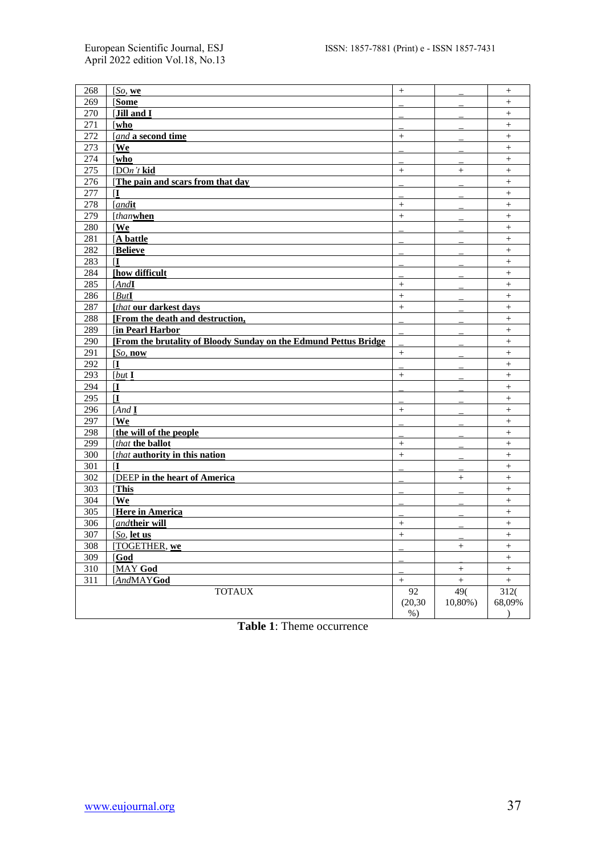| 268 | [So, we]                                                          |           |         |                  |
|-----|-------------------------------------------------------------------|-----------|---------|------------------|
| 269 | [Some                                                             |           |         | $\ddot{+}$       |
| 270 | [Jill and I                                                       |           |         | $+$              |
| 271 | <b>[who</b>                                                       |           |         | $+$              |
| 272 | [and a second time                                                | $+$       |         | $+$              |
| 273 | [We]                                                              |           |         | $+$              |
| 274 | <b>[who</b>                                                       |           |         | $+$              |
| 275 | $\overline{[DOn't\mathbf{k}id]}$                                  | $^{+}$    | $^{+}$  | $\ddot{}$        |
| 276 | [The pain and scars from that day                                 |           |         | $\boldsymbol{+}$ |
| 277 | ſI                                                                |           |         | $+$              |
| 278 | [and it]                                                          | $^{+}$    |         | $+$              |
| 279 | [thanwhen]                                                        | $\ddot{}$ |         | $^{+}$           |
| 280 | <b>[We</b>                                                        |           |         | $^{+}$           |
| 281 | [A battle                                                         |           |         | $+$              |
| 282 | [Believe                                                          |           |         | $+$              |
| 283 | $\mathbf{I}$                                                      |           |         | $\ddot{}$        |
| 284 | [how difficult                                                    |           |         | $^{+}$           |
| 285 | [And]                                                             | $+$       |         | $\ddot{}$        |
| 286 | ButI                                                              | $+$       |         | $+$              |
| 287 | [that our darkest days                                            | $+$       |         | $^{+}$           |
| 288 | [From the death and destruction,                                  |           |         | $\ddot{}$        |
| 289 | [in Pearl Harbor                                                  |           |         | $+$              |
| 290 | [From the brutality of Bloody Sunday on the Edmund Pettus Bridge] |           |         | $+$              |
| 291 | [So, now]                                                         | $^{+}$    |         | $^{+}$           |
| 292 | $\mathbf I$                                                       |           |         | $+$              |
| 293 | [but]                                                             | $+$       |         | $^{+}$           |
| 294 | $\mathbf{I}$                                                      |           |         | $+$              |
| 295 | $\mathbf{I}$                                                      |           |         | $\ddot{}$        |
| 296 | [And I]                                                           | $+$       |         | $+$              |
| 297 | [We                                                               |           |         | $+$              |
| 298 | [the will of the people                                           |           |         | $+$              |
| 299 | [that the ballot]                                                 | $^{+}$    |         | $^{+}$           |
| 300 | [that authority in this nation]                                   | $^{+}$    |         | $^{+}$           |
| 301 | ſI                                                                |           |         | $+$              |
| 302 | [DEEP in the heart of America                                     |           | $+$     | $+$              |
| 303 | [This                                                             |           |         | $\ddot{}$        |
| 304 | <b>[We</b>                                                        |           |         | $+$              |
| 305 | [Here in America]                                                 |           |         | $+$              |
| 306 | [andtheir will                                                    | $+$       |         | $+$              |
| 307 | [So, let us]                                                      | $+$       |         | $+$              |
| 308 | [TOGETHER, we                                                     |           | $+$     | $+$              |
| 309 | $\sqrt{1 + 6}$                                                    |           |         | $+$              |
| 310 | [MAY God                                                          |           | $+$     | $+$              |
| 311 | [AndMAYGod                                                        |           | $+$     | $+$              |
|     | <b>TOTAUX</b>                                                     | 92        | 490     | 312(             |
|     |                                                                   | (20.30)   | 10,80%) | 68,09%           |
|     |                                                                   | $%$ )     |         | $\lambda$        |

**Table 1**: Theme occurrence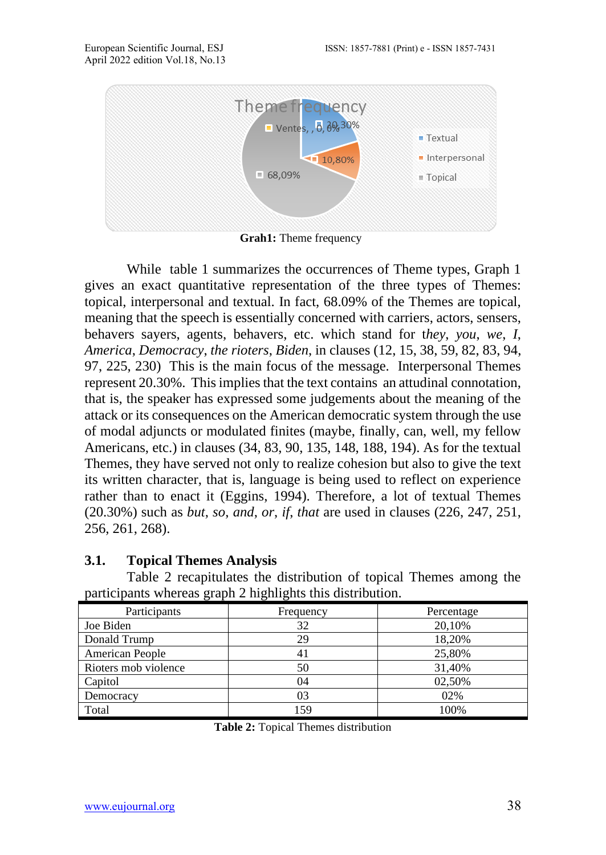

**Grah1:** Theme frequency

While table 1 summarizes the occurrences of Theme types, Graph 1 gives an exact quantitative representation of the three types of Themes: topical, interpersonal and textual. In fact, 68.09% of the Themes are topical, meaning that the speech is essentially concerned with carriers, actors, sensers, behavers sayers, agents, behavers, etc. which stand for t*hey*, *you*, *we*, *I*, *America*, *Democracy*, *the rioters*, *Biden*, in clauses (12, 15, 38, 59, 82, 83, 94, 97, 225, 230) This is the main focus of the message. Interpersonal Themes represent 20.30%. This implies that the text contains an attudinal connotation, that is, the speaker has expressed some judgements about the meaning of the attack or its consequences on the American democratic system through the use of modal adjuncts or modulated finites (maybe, finally, can, well, my fellow Americans, etc.) in clauses (34, 83, 90, 135, 148, 188, 194). As for the textual Themes, they have served not only to realize cohesion but also to give the text its written character, that is, language is being used to reflect on experience rather than to enact it (Eggins, 1994). Therefore, a lot of textual Themes (20.30%) such as *but*, *so*, *and*, *or*, *if*, *that* are used in clauses (226, 247, 251, 256, 261, 268).

#### **3.1. Topical Themes Analysis**

Table 2 recapitulates the distribution of topical Themes among the participants whereas graph 2 highlights this distribution.

| Participants         | Frequency | Percentage |
|----------------------|-----------|------------|
| Joe Biden            | 32        | 20,10%     |
| Donald Trump         | 29        | 18,20%     |
| American People      | 41        | 25,80%     |
| Rioters mob violence | 50        | 31,40%     |
| Capitol              | 04        | 02,50%     |
| Democracy            | 03        | 02%        |
| Total                | 159       | 100%       |

**Table 2:** Topical Themes distribution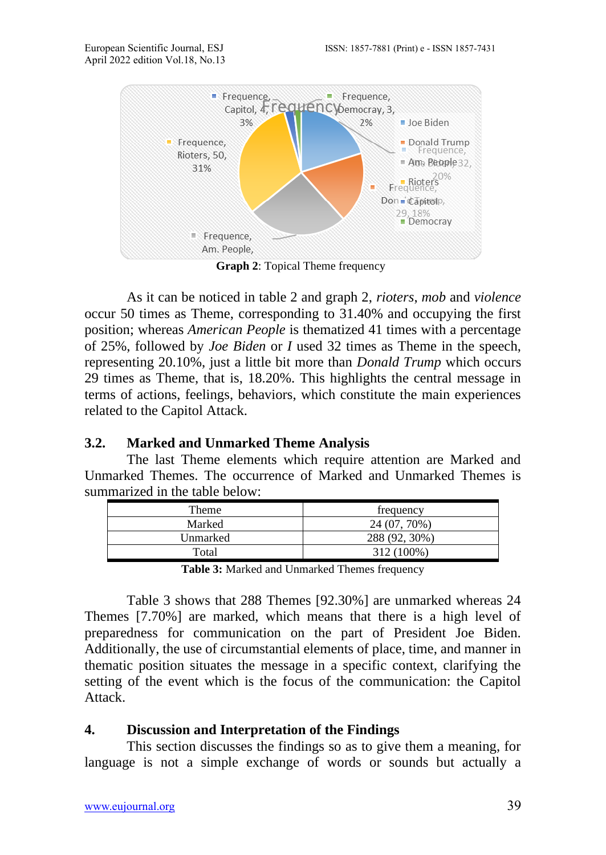

**Graph 2**: Topical Theme frequency

As it can be noticed in table 2 and graph 2, *rioters*, *mob* and *violence* occur 50 times as Theme, corresponding to 31.40% and occupying the first position; whereas *American People* is thematized 41 times with a percentage of 25%, followed by *Joe Biden* or *I* used 32 times as Theme in the speech, representing 20.10%, just a little bit more than *Donald Trump* which occurs 29 times as Theme, that is, 18.20%. This highlights the central message in terms of actions, feelings, behaviors, which constitute the main experiences related to the Capitol Attack.

## **3.2. Marked and Unmarked Theme Analysis**

The last Theme elements which require attention are Marked and Unmarked Themes. The occurrence of Marked and Unmarked Themes is summarized in the table below:

| Theme                                           | frequency     |  |
|-------------------------------------------------|---------------|--|
| Marked                                          | 24 (07, 70%)  |  |
| Unmarked                                        | 288 (92, 30%) |  |
| 312 (100%)<br>Total                             |               |  |
| Toble 2. Montred and Unmoulted Thomas frequency |               |  |

**Table 3:** Marked and Unmarked Themes frequency

Table 3 shows that 288 Themes [92.30%] are unmarked whereas 24 Themes [7.70%] are marked, which means that there is a high level of preparedness for communication on the part of President Joe Biden. Additionally, the use of circumstantial elements of place, time, and manner in thematic position situates the message in a specific context, clarifying the setting of the event which is the focus of the communication: the Capitol Attack.

# **4. Discussion and Interpretation of the Findings**

This section discusses the findings so as to give them a meaning, for language is not a simple exchange of words or sounds but actually a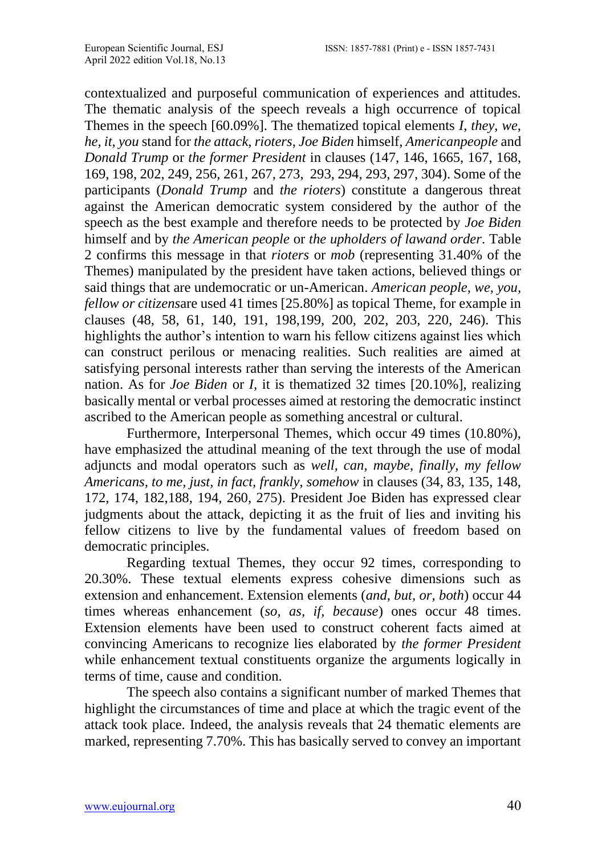contextualized and purposeful communication of experiences and attitudes. The thematic analysis of the speech reveals a high occurrence of topical Themes in the speech [60.09%]. The thematized topical elements *I*, *they*, *we*, *he, it*, *you* stand for *the attack*, *rioters*, *Joe Biden* himself, *Americanpeople* and *Donald Trump* or *the former President* in clauses (147, 146, 1665, 167, 168, 169, 198, 202, 249, 256, 261, 267, 273, 293, 294, 293, 297, 304). Some of the participants (*Donald Trump* and *the rioters*) constitute a dangerous threat against the American democratic system considered by the author of the speech as the best example and therefore needs to be protected by *Joe Biden* himself and by *the American people* or *the upholders of lawand order*. Table 2 confirms this message in that *rioters* or *mob* (representing 31.40% of the Themes) manipulated by the president have taken actions, believed things or said things that are undemocratic or un-American. *American people, we, you, fellow or citizens*are used 41 times [25.80%] as topical Theme, for example in clauses (48, 58, 61, 140, 191, 198,199, 200, 202, 203, 220, 246). This highlights the author's intention to warn his fellow citizens against lies which can construct perilous or menacing realities. Such realities are aimed at satisfying personal interests rather than serving the interests of the American nation. As for *Joe Biden* or *I,* it is thematized 32 times [20.10%], realizing basically mental or verbal processes aimed at restoring the democratic instinct ascribed to the American people as something ancestral or cultural.

Furthermore, Interpersonal Themes, which occur 49 times (10.80%), have emphasized the attudinal meaning of the text through the use of modal adjuncts and modal operators such as *well, can, maybe, finally, my fellow Americans, to me, just, in fact, frankly, somehow* in clauses (34, 83, 135, 148, 172, 174, 182,188, 194, 260, 275). President Joe Biden has expressed clear judgments about the attack, depicting it as the fruit of lies and inviting his fellow citizens to live by the fundamental values of freedom based on democratic principles.

Regarding textual Themes, they occur 92 times, corresponding to 20.30%. These textual elements express cohesive dimensions such as extension and enhancement. Extension elements (*and, but, or, both*) occur 44 times whereas enhancement (*so, as, if, because*) ones occur 48 times. Extension elements have been used to construct coherent facts aimed at convincing Americans to recognize lies elaborated by *the former President* while enhancement textual constituents organize the arguments logically in terms of time, cause and condition.

The speech also contains a significant number of marked Themes that highlight the circumstances of time and place at which the tragic event of the attack took place. Indeed, the analysis reveals that 24 thematic elements are marked, representing 7.70%. This has basically served to convey an important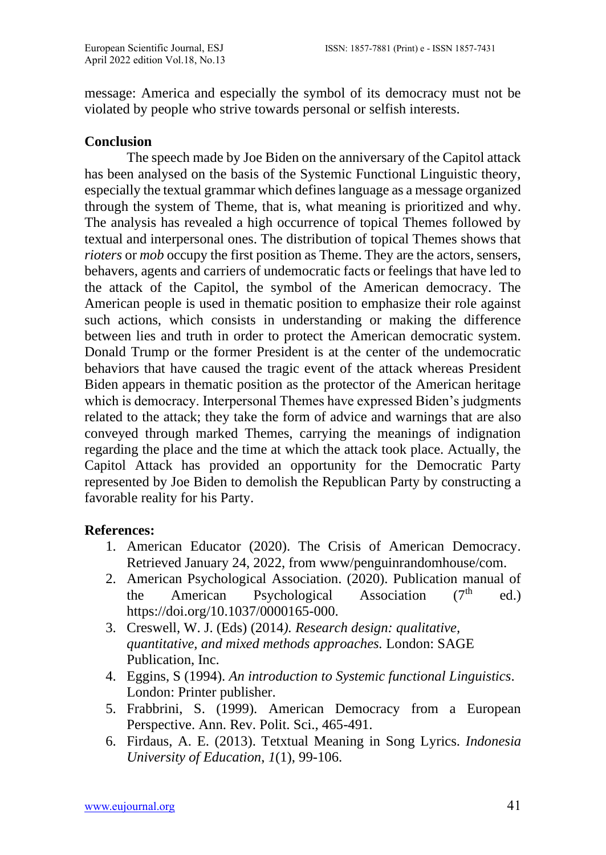message: America and especially the symbol of its democracy must not be violated by people who strive towards personal or selfish interests.

#### **Conclusion**

The speech made by Joe Biden on the anniversary of the Capitol attack has been analysed on the basis of the Systemic Functional Linguistic theory, especially the textual grammar which defines language as a message organized through the system of Theme, that is, what meaning is prioritized and why. The analysis has revealed a high occurrence of topical Themes followed by textual and interpersonal ones. The distribution of topical Themes shows that *rioters* or *mob* occupy the first position as Theme. They are the actors, sensers, behavers, agents and carriers of undemocratic facts or feelings that have led to the attack of the Capitol, the symbol of the American democracy. The American people is used in thematic position to emphasize their role against such actions, which consists in understanding or making the difference between lies and truth in order to protect the American democratic system. Donald Trump or the former President is at the center of the undemocratic behaviors that have caused the tragic event of the attack whereas President Biden appears in thematic position as the protector of the American heritage which is democracy. Interpersonal Themes have expressed Biden's judgments related to the attack; they take the form of advice and warnings that are also conveyed through marked Themes, carrying the meanings of indignation regarding the place and the time at which the attack took place. Actually, the Capitol Attack has provided an opportunity for the Democratic Party represented by Joe Biden to demolish the Republican Party by constructing a favorable reality for his Party.

## **References:**

- 1. American Educator (2020). The Crisis of American Democracy. Retrieved January 24, 2022, from www/penguinrandomhouse/com.
- 2. American Psychological Association. (2020). Publication manual of the American Psychological Association  $(7<sup>th</sup>$  ed.) https://doi.org/10.1037/0000165-000.
- 3. Creswell, W. J. (Eds) (2014*). Research design: qualitative, quantitative, and mixed methods approaches.* London: SAGE Publication, Inc.
- 4. Eggins, S (1994). *An introduction to Systemic functional Linguistics*. London: Printer publisher.
- 5. Frabbrini, S. (1999). American Democracy from a European Perspective. Ann. Rev. Polit. Sci., 465-491.
- 6. Firdaus, A. E. (2013). Tetxtual Meaning in Song Lyrics. *Indonesia University of Education*, *1*(1), 99-106.